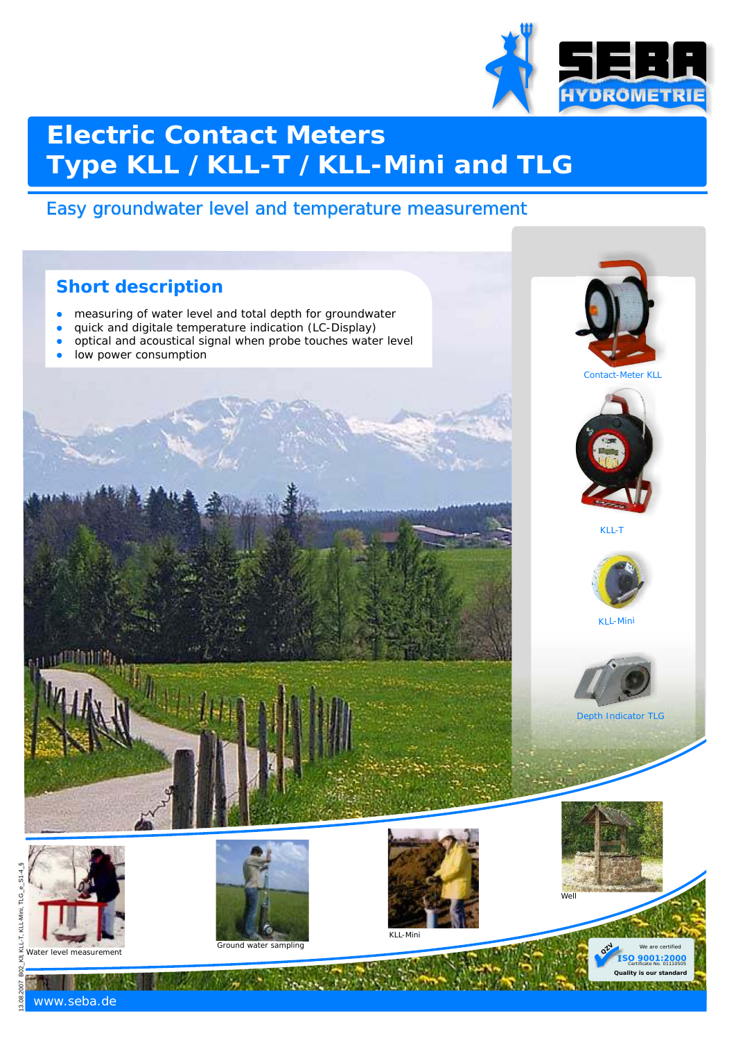

# **Electric Contact Meters Type KLL /KLL-T /KLL-Mini and TLG**

### Easy groundwater level and temperature measurement

#### **Short description**

- $\bullet$ measuring of water level and total depth for groundwater
- $\bullet$ quick and digitale temperature indication (LC-Display)
- $\bullet$ optical and acoustical signal when probe touches water level
- $\bullet$ low power consumption













Depth Indicator TLG



418 M M R



Ground water sampling



KLL-Mini



**QZ**

**ISO 9001:2000 Quality is our standard** Certificate No. 01110505

10.803.9231.403

www.seba.de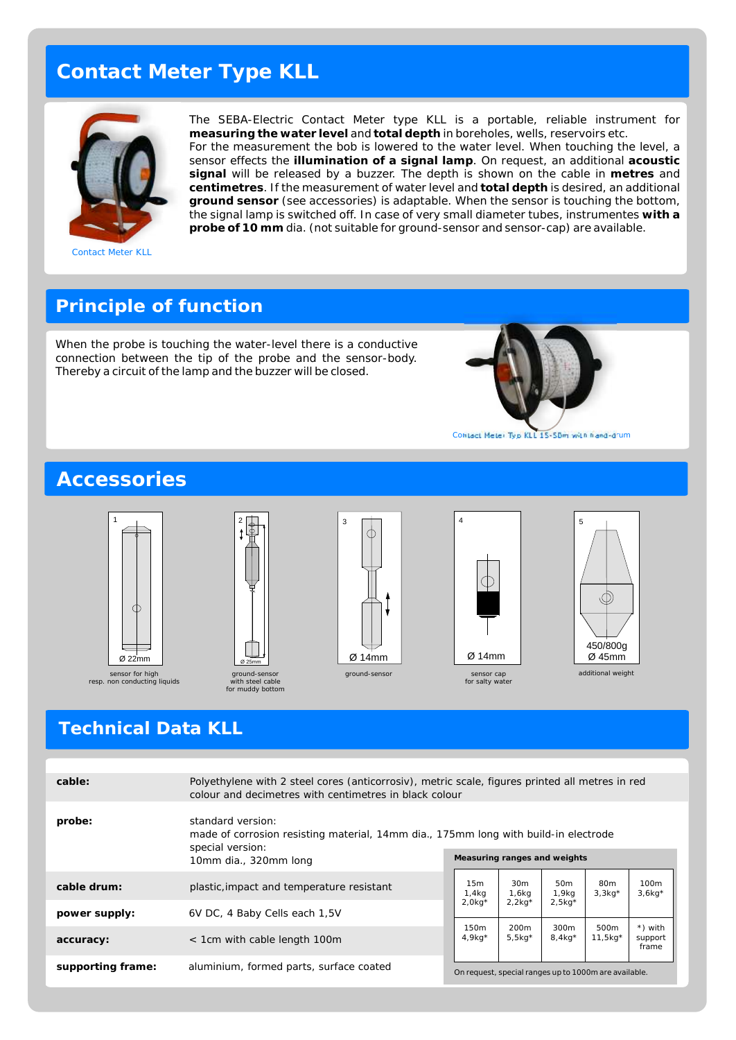### **Contact Meter Type KLL**



Contact Meter KLL

The SEBA-Electric Contact Meter type KLL is a portable, reliable instrument for **measuring the water level** and **total depth** in boreholes, wells, reservoirs etc. For the measurement the bob is lowered to the water level. When touching the level, a sensor effects the **illumination of a signal lamp**. On request, an additional **acoustic signal** will be released by a buzzer. The depth is shown on the cable in **metres** and **centimetres**. If the measurement of water level and **total depth** is desired, an additional **ground sensor** (see accessories) is adaptable. When the sensor is touching the bottom, the signal lamp is switched off. In case of very small diameter tubes, instrumentes **with a probe of 10 mm** dia. (not suitable for ground-sensor and sensor-cap) are available.

#### **Principle of function**

When the probe is touching the water-level there is a conductive connection between the tip of the probe and the sensor-body. Thereby a circuit of the lamp and the buzzer will be closed.

2

ground-sensor with steel cable for muddy bottom Ø 25mm



Contact Meter Typ KLL 15-50m with hand-drum

#### **Accessories**



resp. non conducting liquids







additional weight

#### **Technical Data KLL**

| cable:            | Polyethylene with 2 steel cores (anticorrosiv), metric scale, figures printed all metres in red<br>colour and decimetres with centimetres in black colour |  |                                                       |                                                   |                                       |                             |                              |
|-------------------|-----------------------------------------------------------------------------------------------------------------------------------------------------------|--|-------------------------------------------------------|---------------------------------------------------|---------------------------------------|-----------------------------|------------------------------|
| probe:            | standard version:<br>made of corrosion resisting material, 14mm dia., 175mm long with build-in electrode<br>special version:<br>10mm dia., 320mm long     |  | Measuring ranges and weights                          |                                                   |                                       |                             |                              |
| cable drum:       | plastic, impact and temperature resistant                                                                                                                 |  | 15m<br>1,4kg<br>$2.0$ kg <sup>*</sup>                 | 30 <sub>m</sub><br>1,6kg<br>$2.2$ kg <sup>*</sup> | 50 <sub>m</sub><br>1,9kg<br>$2.5$ kg* | 80 <sub>m</sub><br>$3,3kg*$ | 100 <sub>m</sub><br>$3,6kg*$ |
| power supply:     | 6V DC, 4 Baby Cells each 1,5V                                                                                                                             |  |                                                       |                                                   |                                       |                             |                              |
| accuracy:         | < 1cm with cable length 100m                                                                                                                              |  | 150 <sub>m</sub><br>$4.9$ kg*                         | 200 <sub>m</sub><br>$5,5kq^*$                     | 300m<br>$8.4$ kg*                     | 500m<br>$11,5kg*$           | *) with<br>support<br>frame  |
| supporting frame: | aluminium, formed parts, surface coated                                                                                                                   |  | On request, special ranges up to 1000m are available. |                                                   |                                       |                             |                              |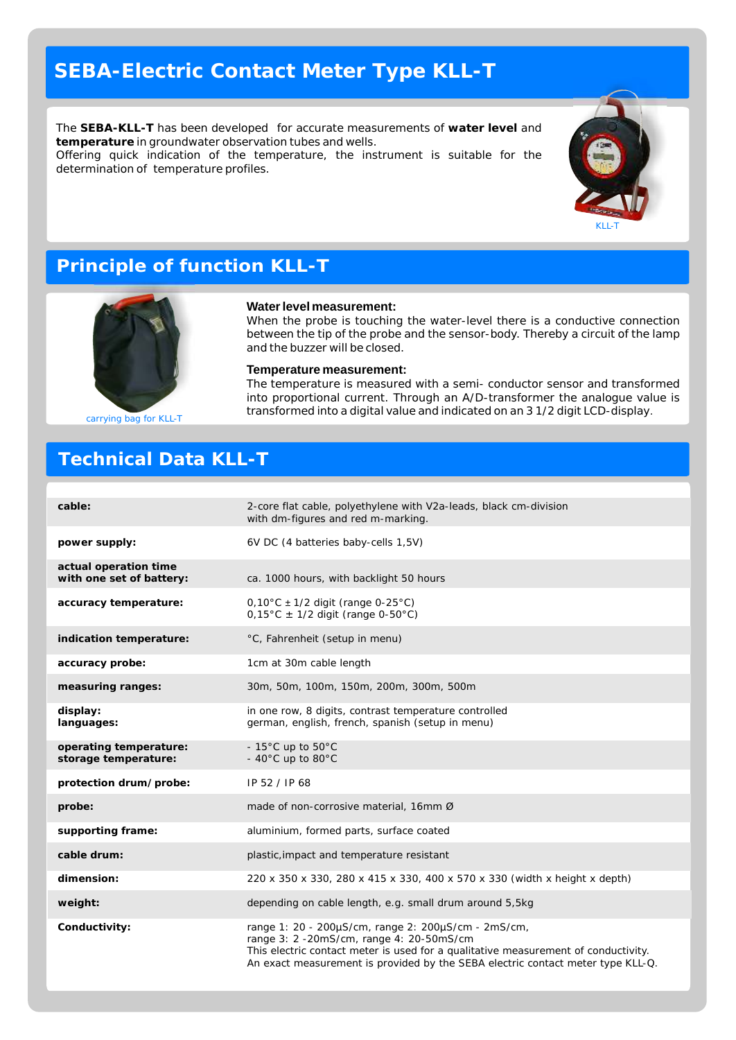### **SEBA-Electric Contact Meter Type KLL-T**

The **SEBA-KLL-T** has been developed for accurate measurements of **water level** and **temperature** in groundwater observation tubes and wells. Offering quick indication of the temperature, the instrument is suitable for the determination of temperature profiles.

**Water level measurement:**

and the buzzer will be closed. **Temperature measurement:**

When the probe is touching the water-level there is a conductive connection between the tip of the probe and the sensor-body. Thereby a circuit of the lamp

The temperature is measured with a semi- conductor sensor and transformed into proportional current. Through an A/D-transformer the analogue value is transformed into a digital value and indicated on an 3 1/2 digit LCD-display.



#### **Principle of function KLL-T**



carrying bag for KLL-T

### **Technical Data KLL-T**

#### **cable:** 2-core flat cable, polyethylene with V2a-leads, black cm-division with dm-figures and red m-marking. **power supply:** 6V DC (4 batteries baby-cells 1,5V) **actual operation time**  with one set of battery: ca. 1000 hours, with backlight 50 hours **accuracy temperature:** 0,10°C ± 1/2 digit (range 0-25°C)  $0,15^{\circ}$ C ± 1/2 digit (range 0-50°C) **indication temperature:** °C, Fahrenheit (setup in menu) **accuracy probe:** 1cm at 30m cable length **measuring ranges:** 30m, 50m, 100m, 150m, 200m, 300m, 500m **display:** in one row, 8 digits, contrast temperature controlled **languages:** german, english, french, spanish (setup in menu) operating temperature:  $-15^{\circ}$ C up to  $50^{\circ}$ C storage temperature:  $40^{\circ}$ C up to 80 $^{\circ}$ C **protection drum/probe:** IP 52 / IP 68 **probe:** made of non-corrosive material, 16mm Ø **supporting frame:** aluminium, formed parts, surface coated **cable drum:** plastic,impact and temperature resistant **dimension:** 220 x 350 x 330, 280 x 415 x 330, 400 x 570 x 330 (width x height x depth) **weight:** depending on cable length, e.g. small drum around 5,5kg **Conductivity:** range 1: 20 - 200 µS/cm, range 2: 200µS/cm - 2mS/cm, An exact measurement is provided by the SEBA electric contact meter type KLL-Q. range 3: 2 -20mS/cm, range 4: 20-50mS/cm This electric contact meter is used for a qualitative measurement of conductivity.